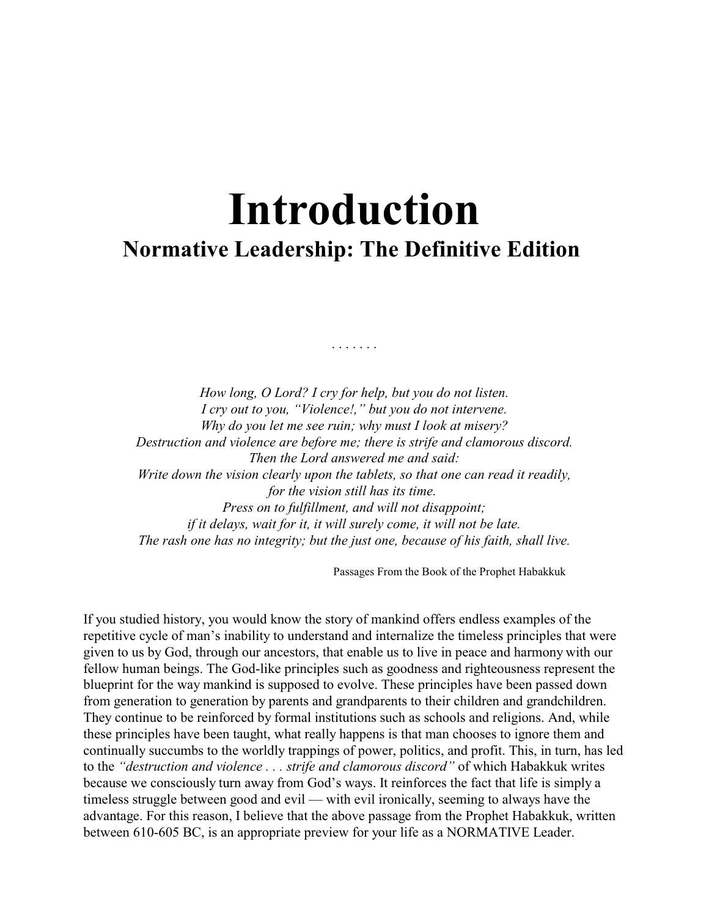# **Introduction Normative Leadership: The Definitive Edition**

*How long, O Lord? I cry for help, but you do not listen. I cry out to you, "Violence!," but you do not intervene. Why do you let me see ruin; why must I look at misery? Destruction and violence are before me; there is strife and clamorous discord. Then the Lord answered me and said: Write down the vision clearly upon the tablets, so that one can read it readily, for the vision still has its time. Press on to fulfillment, and will not disappoint; if it delays, wait for it, it will surely come, it will not be late. The rash one has no integrity; but the just one, because of his faith, shall live.*

. . . . . . .

Passages From the Book of the Prophet Habakkuk

If you studied history, you would know the story of mankind offers endless examples of the repetitive cycle of man's inability to understand and internalize the timeless principles that were given to us by God, through our ancestors, that enable us to live in peace and harmony with our fellow human beings. The God-like principles such as goodness and righteousness represent the blueprint for the way mankind is supposed to evolve. These principles have been passed down from generation to generation by parents and grandparents to their children and grandchildren. They continue to be reinforced by formal institutions such as schools and religions. And, while these principles have been taught, what really happens is that man chooses to ignore them and continually succumbs to the worldly trappings of power, politics, and profit. This, in turn, has led to the *"destruction and violence . . . strife and clamorous discord"* of which Habakkuk writes because we consciously turn away from God's ways. It reinforces the fact that life is simply a timeless struggle between good and evil — with evil ironically, seeming to always have the advantage. For this reason, I believe that the above passage from the Prophet Habakkuk, written between 610-605 BC, is an appropriate preview for your life as a NORMATIVE Leader.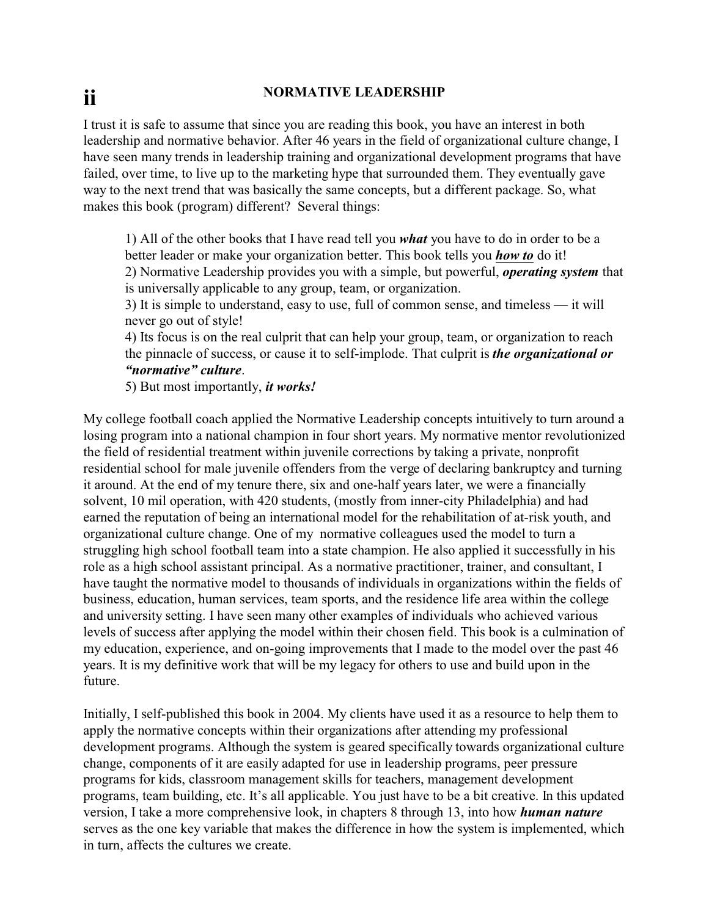# **ii NORMATIVE LEADERSHIP**

I trust it is safe to assume that since you are reading this book, you have an interest in both leadership and normative behavior. After 46 years in the field of organizational culture change, I have seen many trends in leadership training and organizational development programs that have failed, over time, to live up to the marketing hype that surrounded them. They eventually gave way to the next trend that was basically the same concepts, but a different package. So, what makes this book (program) different? Several things:

1) All of the other books that I have read tell you *what* you have to do in order to be a better leader or make your organization better. This book tells you *how to* do it! 2) Normative Leadership provides you with a simple, but powerful, *operating system* that is universally applicable to any group, team, or organization.

3) It is simple to understand, easy to use, full of common sense, and timeless — it will never go out of style!

4) Its focus is on the real culprit that can help your group, team, or organization to reach the pinnacle of success, or cause it to self-implode. That culprit is *the organizational or "normative" culture*.

5) But most importantly, *it works!*

My college football coach applied the Normative Leadership concepts intuitively to turn around a losing program into a national champion in four short years. My normative mentor revolutionized the field of residential treatment within juvenile corrections by taking a private, nonprofit residential school for male juvenile offenders from the verge of declaring bankruptcy and turning it around. At the end of my tenure there, six and one-half years later, we were a financially solvent, 10 mil operation, with 420 students, (mostly from inner-city Philadelphia) and had earned the reputation of being an international model for the rehabilitation of at-risk youth, and organizational culture change. One of my normative colleagues used the model to turn a struggling high school football team into a state champion. He also applied it successfully in his role as a high school assistant principal. As a normative practitioner, trainer, and consultant, I have taught the normative model to thousands of individuals in organizations within the fields of business, education, human services, team sports, and the residence life area within the college and university setting. I have seen many other examples of individuals who achieved various levels of success after applying the model within their chosen field. This book is a culmination of my education, experience, and on-going improvements that I made to the model over the past 46 years. It is my definitive work that will be my legacy for others to use and build upon in the future.

Initially, I self-published this book in 2004. My clients have used it as a resource to help them to apply the normative concepts within their organizations after attending my professional development programs. Although the system is geared specifically towards organizational culture change, components of it are easily adapted for use in leadership programs, peer pressure programs for kids, classroom management skills for teachers, management development programs, team building, etc. It's all applicable. You just have to be a bit creative. In this updated version, I take a more comprehensive look, in chapters 8 through 13, into how *human nature* serves as the one key variable that makes the difference in how the system is implemented, which in turn, affects the cultures we create.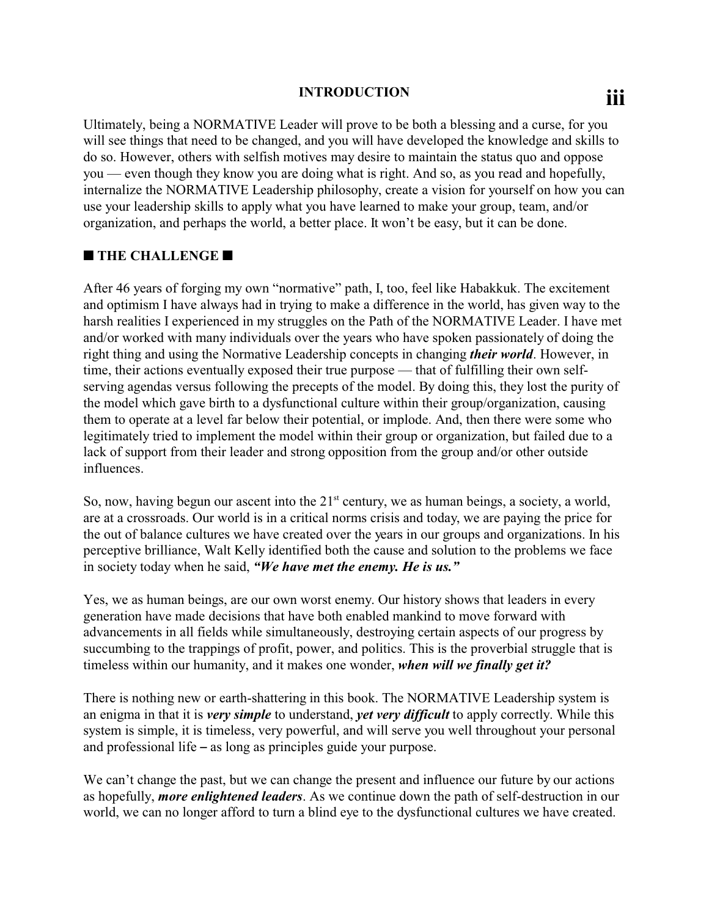## **introduction**

Ultimately, being a NORMATIVE Leader will prove to be both a blessing and a curse, for you will see things that need to be changed, and you will have developed the knowledge and skills to do so. However, others with selfish motives may desire to maintain the status quo and oppose you — even though they know you are doing what is right. And so, as you read and hopefully, internalize the NORMATIVE Leadership philosophy, create a vision for yourself on how you can use your leadership skills to apply what you have learned to make your group, team, and/or organization, and perhaps the world, a better place. It won't be easy, but it can be done.

### **THE CHALLENGE**

After 46 years of forging my own "normative" path, I, too, feel like Habakkuk. The excitement and optimism I have always had in trying to make a difference in the world, has given way to the harsh realities I experienced in my struggles on the Path of the NORMATIVE Leader. I have met and/or worked with many individuals over the years who have spoken passionately of doing the right thing and using the Normative Leadership concepts in changing *their world*. However, in time, their actions eventually exposed their true purpose — that of fulfilling their own selfserving agendas versus following the precepts of the model. By doing this, they lost the purity of the model which gave birth to a dysfunctional culture within their group/organization, causing them to operate at a level far below their potential, or implode. And, then there were some who legitimately tried to implement the model within their group or organization, but failed due to a lack of support from their leader and strong opposition from the group and/or other outside influences.

So, now, having begun our ascent into the 21<sup>st</sup> century, we as human beings, a society, a world, are at a crossroads. Our world is in a critical norms crisis and today, we are paying the price for the out of balance cultures we have created over the years in our groups and organizations. In his perceptive brilliance, Walt Kelly identified both the cause and solution to the problems we face in society today when he said, *"We have met the enemy. He is us."*

Yes, we as human beings, are our own worst enemy. Our history shows that leaders in every generation have made decisions that have both enabled mankind to move forward with advancements in all fields while simultaneously, destroying certain aspects of our progress by succumbing to the trappings of profit, power, and politics. This is the proverbial struggle that is timeless within our humanity, and it makes one wonder, *when will we finally get it?* 

There is nothing new or earth-shattering in this book. The NORMATIVE Leadership system is an enigma in that it is *very simple* to understand, *yet very difficult* to apply correctly. While this system is simple, it is timeless, very powerful, and will serve you well throughout your personal and professional life  $-$  as long as principles guide your purpose.

We can't change the past, but we can change the present and influence our future by our actions as hopefully, *more enlightened leaders*. As we continue down the path of self-destruction in our world, we can no longer afford to turn a blind eye to the dysfunctional cultures we have created.